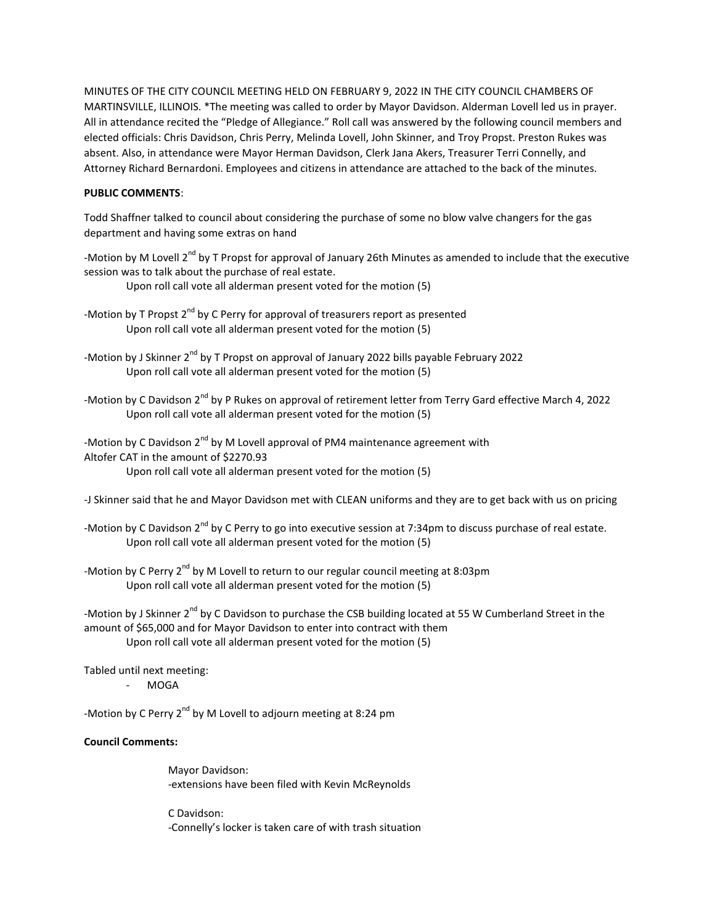MINUTES OF THE CITY COUNCIL MEETING HELD ON FEBRUARY 9, 2022 IN THE CITY COUNCIL CHAMBERS OF MARTINSVILLE, ILLINOIS. \*The meeting was called to order by Mayor Davidson. Alderman Lovell led us in prayer. All in attendance recited the "Pledge of Allegiance." Roll call was answered by the following council members and elected officials: Chris Davidson, Chris Perry, Melinda Lovell, John Skinner, and Troy Propst. Preston Rukes was absent. Also, in attendance were Mayor Herman Davidson, Clerk Jana Akers, Treasurer Terri Connelly, and Attorney Richard Bernardoni. Employees and citizens in attendance are attached to the back of the minutes.

## **PUBLIC COMMENTS**:

Todd Shaffner talked to council about considering the purchase of some no blow valve changers for the gas department and having some extras on hand

-Motion by M Lovell 2<sup>nd</sup> by T Propst for approval of January 26th Minutes as amended to include that the executive session was to talk about the purchase of real estate.

Upon roll call vote all alderman present voted for the motion (5)

- -Motion by T Propst 2<sup>nd</sup> by C Perry for approval of treasurers report as presented Upon roll call vote all alderman present voted for the motion (5)
- -Motion by J Skinner 2<sup>nd</sup> by T Propst on approval of January 2022 bills payable February 2022 Upon roll call vote all alderman present voted for the motion (5)
- -Motion by C Davidson 2<sup>nd</sup> by P Rukes on approval of retirement letter from Terry Gard effective March 4, 2022 Upon roll call vote all alderman present voted for the motion (5)
- -Motion by C Davidson 2<sup>nd</sup> by M Lovell approval of PM4 maintenance agreement with Altofer CAT in the amount of \$2270.93 Upon roll call vote all alderman present voted for the motion (5)
- -J Skinner said that he and Mayor Davidson met with CLEAN uniforms and they are to get back with us on pricing
- -Motion by C Davidson 2<sup>nd</sup> by C Perry to go into executive session at 7:34pm to discuss purchase of real estate. Upon roll call vote all alderman present voted for the motion (5)
- -Motion by C Perry  $2^{nd}$  by M Lovell to return to our regular council meeting at 8:03pm Upon roll call vote all alderman present voted for the motion (5)

-Motion by J Skinner  $2^{nd}$  by C Davidson to purchase the CSB building located at 55 W Cumberland Street in the amount of \$65,000 and for Mayor Davidson to enter into contract with them Upon roll call vote all alderman present voted for the motion (5)

Tabled until next meeting: - MOGA

-Motion by C Perry 2<sup>nd</sup> by M Lovell to adjourn meeting at 8:24 pm

## **Council Comments:**

Mayor Davidson: -extensions have been filed with Kevin McReynolds

C Davidson: -Connelly's locker is taken care of with trash situation